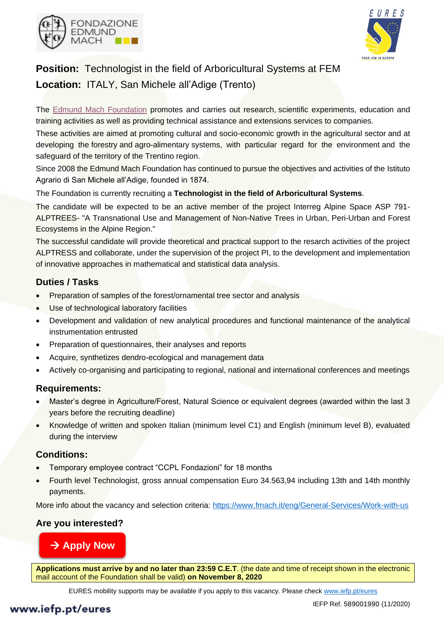



# **Position:** Technologist in the field of Arboricultural Systems at FEM **Location:** ITALY, San Michele all'Adige (Trento)

The [Edmund Mach Foundation](https://www.fmach.it/eng) promotes and carries out research, scientific experiments, education and training activities as well as providing technical assistance and extensions services to companies.

These activities are aimed at promoting cultural and socio-economic growth in the agricultural sector and at developing the forestry and agro-alimentary systems, with particular regard for the environment and the safeguard of the territory of the Trentino region.

Since 2008 the Edmund Mach Foundation has continued to pursue the objectives and activities of the Istituto Agrario di San Michele all'Adige, founded in 1874.

The Foundation is currently recruiting a **Technologist in the field of Arboricultural Systems**.

The candidate will be expected to be an active member of the project Interreg Alpine Space ASP 791- ALPTREES- "A Transnational Use and Management of Non-Native Trees in Urban, Peri-Urban and Forest Ecosystems in the Alpine Region."

The successful candidate will provide theoretical and practical support to the resarch activities of the project ALPTRESS and collaborate, under the supervision of the project PI, to the development and implementation of innovative approaches in mathematical and statistical data analysis.

# **Duties / Tasks**

- Preparation of samples of the forest/ornamental tree sector and analysis
- Use of technological laboratory facilities
- Development and validation of new analytical procedures and functional maintenance of the analytical instrumentation entrusted
- Preparation of questionnaires, their analyses and reports
- Acquire, synthetizes dendro-ecological and management data
- Actively co-organising and participating to regional, national and international conferences and meetings

## **Requirements:**

- Master's degree in Agriculture/Forest, Natural Science or equivalent degrees (awarded within the last 3 years before the recruiting deadline)
- Knowledge of written and spoken Italian (minimum level C1) and English (minimum level B), evaluated during the interview

### **Conditions:**

- Temporary employee contract "CCPL Fondazioni" for 18 months
- Fourth level Technologist, gross annual compensation Euro 34.563,94 including 13th and 14th monthly payments.

More info about the vacancy and selection criteria: <https://www.fmach.it/eng/General-Services/Work-with-us>

## **Are you interested?**

# [→](https://www.fmach.it/eng/Servizi-Generali/Lavora-con-noi/Annunci-lavoro-borse-di-studio-e-tirocini/N.-1-one-temporary-position-for-18-months-as-Fourth-level-Technologist-T4-in-the-field-of-Arboricultural-Systems-for-the-Interreg-Alpine-Space-Project-ASP-791-ALPTREES-282_CRI_ACS-deadline-November-8-2020) **[Apply Now](https://www.fmach.it/eng/Servizi-Generali/Lavora-con-noi/Annunci-lavoro-borse-di-studio-e-tirocini/N.-1-one-temporary-position-for-18-months-as-Fourth-level-Technologist-T4-in-the-field-of-Arboricultural-Systems-for-the-Interreg-Alpine-Space-Project-ASP-791-ALPTREES-282_CRI_ACS-deadline-November-8-2020)**

**Applications must arrive by and no later than 23:59 C.E.T**. (the date and time of receipt shown in the electronic mail account of the Foundation shall be valid) **on November 8, 2020**

EURES mobility supports may be available if you apply to this vacancy. Please check [www.iefp.pt/eures](http://www.iefp.pt/eures)

# www.iefp.pt/eures